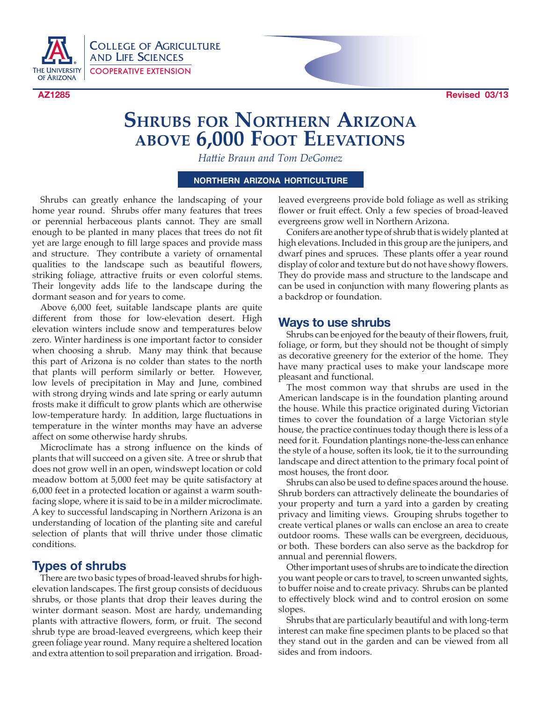

COLLEGE OF AGRICULTURE AND LIFE SCIENCES COOPERATIVE EXTENSION



# **Shrubs for Northern Arizona above 6,000 Foot Elevations**

*Hattie Braun and Tom DeGomez*

#### **northern arizona horticulture**

Shrubs can greatly enhance the landscaping of your home year round. Shrubs offer many features that trees or perennial herbaceous plants cannot. They are small enough to be planted in many places that trees do not fit yet are large enough to fill large spaces and provide mass and structure. They contribute a variety of ornamental qualities to the landscape such as beautiful flowers, striking foliage, attractive fruits or even colorful stems. Their longevity adds life to the landscape during the dormant season and for years to come.

Above 6,000 feet, suitable landscape plants are quite different from those for low-elevation desert. High elevation winters include snow and temperatures below zero. Winter hardiness is one important factor to consider when choosing a shrub. Many may think that because this part of Arizona is no colder than states to the north that plants will perform similarly or better. However, low levels of precipitation in May and June, combined with strong drying winds and late spring or early autumn frosts make it difficult to grow plants which are otherwise low-temperature hardy. In addition, large fluctuations in temperature in the winter months may have an adverse affect on some otherwise hardy shrubs.

Microclimate has a strong influence on the kinds of plants that will succeed on a given site. A tree or shrub that does not grow well in an open, windswept location or cold meadow bottom at 5,000 feet may be quite satisfactory at 6,000 feet in a protected location or against a warm southfacing slope, where it is said to be in a milder microclimate. A key to successful landscaping in Northern Arizona is an understanding of location of the planting site and careful selection of plants that will thrive under those climatic conditions.

## **Types of shrubs**

There are two basic types of broad-leaved shrubs for highelevation landscapes. The first group consists of deciduous shrubs, or those plants that drop their leaves during the winter dormant season. Most are hardy, undemanding plants with attractive flowers, form, or fruit. The second shrub type are broad-leaved evergreens, which keep their green foliage year round. Many require a sheltered location and extra attention to soil preparation and irrigation. Broad-

leaved evergreens provide bold foliage as well as striking flower or fruit effect. Only a few species of broad-leaved evergreens grow well in Northern Arizona.

Conifers are another type of shrub that is widely planted at high elevations. Included in this group are the junipers, and dwarf pines and spruces. These plants offer a year round display of color and texture but do not have showy flowers. They do provide mass and structure to the landscape and can be used in conjunction with many flowering plants as a backdrop or foundation.

#### **Ways to use shrubs**

Shrubs can be enjoyed for the beauty of their flowers, fruit, foliage, or form, but they should not be thought of simply as decorative greenery for the exterior of the home. They have many practical uses to make your landscape more pleasant and functional.

The most common way that shrubs are used in the American landscape is in the foundation planting around the house. While this practice originated during Victorian times to cover the foundation of a large Victorian style house, the practice continues today though there is less of a need for it. Foundation plantings none-the-less can enhance the style of a house, soften its look, tie it to the surrounding landscape and direct attention to the primary focal point of most houses, the front door.

Shrubs can also be used to define spaces around the house. Shrub borders can attractively delineate the boundaries of your property and turn a yard into a garden by creating privacy and limiting views. Grouping shrubs together to create vertical planes or walls can enclose an area to create outdoor rooms. These walls can be evergreen, deciduous, or both. These borders can also serve as the backdrop for annual and perennial flowers.

Other important uses of shrubs are to indicate the direction you want people or cars to travel, to screen unwanted sights, to buffer noise and to create privacy. Shrubs can be planted to effectively block wind and to control erosion on some slopes.

Shrubs that are particularly beautiful and with long-term interest can make fine specimen plants to be placed so that they stand out in the garden and can be viewed from all sides and from indoors.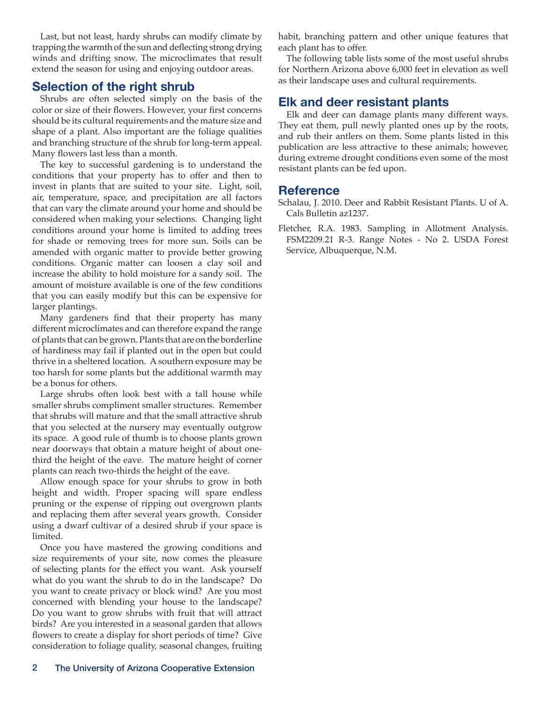Last, but not least, hardy shrubs can modify climate by trapping the warmth of the sun and deflecting strong drying winds and drifting snow. The microclimates that result extend the season for using and enjoying outdoor areas.

# **Selection of the right shrub**

Shrubs are often selected simply on the basis of the color or size of their flowers. However, your first concerns should be its cultural requirements and the mature size and shape of a plant. Also important are the foliage qualities and branching structure of the shrub for long-term appeal. Many flowers last less than a month.

The key to successful gardening is to understand the conditions that your property has to offer and then to invest in plants that are suited to your site. Light, soil, air, temperature, space, and precipitation are all factors that can vary the climate around your home and should be considered when making your selections. Changing light conditions around your home is limited to adding trees for shade or removing trees for more sun. Soils can be amended with organic matter to provide better growing conditions. Organic matter can loosen a clay soil and increase the ability to hold moisture for a sandy soil. The amount of moisture available is one of the few conditions that you can easily modify but this can be expensive for larger plantings.

Many gardeners find that their property has many different microclimates and can therefore expand the range of plants that can be grown. Plants that are on the borderline of hardiness may fail if planted out in the open but could thrive in a sheltered location. A southern exposure may be too harsh for some plants but the additional warmth may be a bonus for others.

Large shrubs often look best with a tall house while smaller shrubs compliment smaller structures. Remember that shrubs will mature and that the small attractive shrub that you selected at the nursery may eventually outgrow its space. A good rule of thumb is to choose plants grown near doorways that obtain a mature height of about onethird the height of the eave. The mature height of corner plants can reach two-thirds the height of the eave.

Allow enough space for your shrubs to grow in both height and width. Proper spacing will spare endless pruning or the expense of ripping out overgrown plants and replacing them after several years growth. Consider using a dwarf cultivar of a desired shrub if your space is limited.

Once you have mastered the growing conditions and size requirements of your site, now comes the pleasure of selecting plants for the effect you want. Ask yourself what do you want the shrub to do in the landscape? Do you want to create privacy or block wind? Are you most concerned with blending your house to the landscape? Do you want to grow shrubs with fruit that will attract birds? Are you interested in a seasonal garden that allows flowers to create a display for short periods of time? Give consideration to foliage quality, seasonal changes, fruiting habit, branching pattern and other unique features that each plant has to offer.

The following table lists some of the most useful shrubs for Northern Arizona above 6,000 feet in elevation as well as their landscape uses and cultural requirements.

# **Elk and deer resistant plants**

Elk and deer can damage plants many different ways. They eat them, pull newly planted ones up by the roots, and rub their antlers on them. Some plants listed in this publication are less attractive to these animals; however, during extreme drought conditions even some of the most resistant plants can be fed upon.

#### **Reference**

Schalau, J. 2010. Deer and Rabbit Resistant Plants. U of A. Cals Bulletin az1237.

Fletcher, R.A. 1983. Sampling in Allotment Analysis. FSM2209.21 R-3. Range Notes - No 2. USDA Forest Service, Albuquerque, N.M.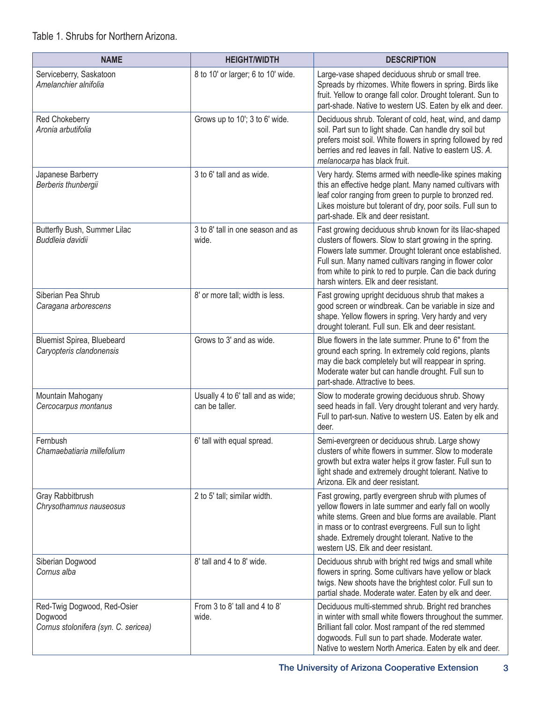### Table 1. Shrubs for Northern Arizona.

| <b>NAME</b>                                                                    | <b>HEIGHT/WIDTH</b>                                 | <b>DESCRIPTION</b>                                                                                                                                                                                                                                                                                                                              |
|--------------------------------------------------------------------------------|-----------------------------------------------------|-------------------------------------------------------------------------------------------------------------------------------------------------------------------------------------------------------------------------------------------------------------------------------------------------------------------------------------------------|
| Serviceberry, Saskatoon<br>Amelanchier alnifolia                               | 8 to 10' or larger; 6 to 10' wide.                  | Large-vase shaped deciduous shrub or small tree.<br>Spreads by rhizomes. White flowers in spring. Birds like<br>fruit. Yellow to orange fall color. Drought tolerant. Sun to<br>part-shade. Native to western US. Eaten by elk and deer.                                                                                                        |
| Red Chokeberry<br>Aronia arbutifolia                                           | Grows up to 10'; 3 to 6' wide.                      | Deciduous shrub. Tolerant of cold, heat, wind, and damp<br>soil. Part sun to light shade. Can handle dry soil but<br>prefers moist soil. White flowers in spring followed by red<br>berries and red leaves in fall. Native to eastern US. A.<br>melanocarpa has black fruit.                                                                    |
| Japanese Barberry<br>Berberis thunbergii                                       | 3 to 6' tall and as wide.                           | Very hardy. Stems armed with needle-like spines making<br>this an effective hedge plant. Many named cultivars with<br>leaf color ranging from green to purple to bronzed red.<br>Likes moisture but tolerant of dry, poor soils. Full sun to<br>part-shade. Elk and deer resistant.                                                             |
| Butterfly Bush, Summer Lilac<br>Buddleia davidii                               | 3 to 8' tall in one season and as<br>wide.          | Fast growing deciduous shrub known for its lilac-shaped<br>clusters of flowers. Slow to start growing in the spring.<br>Flowers late summer. Drought tolerant once established.<br>Full sun. Many named cultivars ranging in flower color<br>from white to pink to red to purple. Can die back during<br>harsh winters. Elk and deer resistant. |
| Siberian Pea Shrub<br>Caragana arborescens                                     | 8' or more tall; width is less.                     | Fast growing upright deciduous shrub that makes a<br>good screen or windbreak. Can be variable in size and<br>shape. Yellow flowers in spring. Very hardy and very<br>drought tolerant. Full sun. Elk and deer resistant.                                                                                                                       |
| Bluemist Spirea, Bluebeard<br>Caryopteris clandonensis                         | Grows to 3' and as wide.                            | Blue flowers in the late summer. Prune to 6" from the<br>ground each spring. In extremely cold regions, plants<br>may die back completely but will reappear in spring.<br>Moderate water but can handle drought. Full sun to<br>part-shade. Attractive to bees.                                                                                 |
| Mountain Mahogany<br>Cercocarpus montanus                                      | Usually 4 to 6' tall and as wide;<br>can be taller. | Slow to moderate growing deciduous shrub. Showy<br>seed heads in fall. Very drought tolerant and very hardy.<br>Full to part-sun. Native to western US. Eaten by elk and<br>deer.                                                                                                                                                               |
| Fernbush<br>Chamaebatiaria millefolium                                         | 6' tall with equal spread.                          | Semi-evergreen or deciduous shrub. Large showy<br>clusters of white flowers in summer. Slow to moderate<br>growth but extra water helps it grow faster. Full sun to<br>light shade and extremely drought tolerant. Native to<br>Arizona. Elk and deer resistant.                                                                                |
| Gray Rabbitbrush<br>Chrysothamnus nauseosus                                    | 2 to 5' tall; similar width.                        | Fast growing, partly evergreen shrub with plumes of<br>yellow flowers in late summer and early fall on woolly<br>white stems. Green and blue forms are available. Plant<br>in mass or to contrast evergreens. Full sun to light<br>shade. Extremely drought tolerant. Native to the<br>western US. Elk and deer resistant.                      |
| Siberian Dogwood<br>Cornus alba                                                | 8' tall and 4 to 8' wide.                           | Deciduous shrub with bright red twigs and small white<br>flowers in spring. Some cultivars have yellow or black<br>twigs. New shoots have the brightest color. Full sun to<br>partial shade. Moderate water. Eaten by elk and deer.                                                                                                             |
| Red-Twig Dogwood, Red-Osier<br>Dogwood<br>Cornus stolonifera (syn. C. sericea) | From 3 to 8' tall and 4 to 8'<br>wide.              | Deciduous multi-stemmed shrub. Bright red branches<br>in winter with small white flowers throughout the summer.<br>Brilliant fall color. Most rampant of the red stemmed<br>dogwoods. Full sun to part shade. Moderate water.<br>Native to western North America. Eaten by elk and deer.                                                        |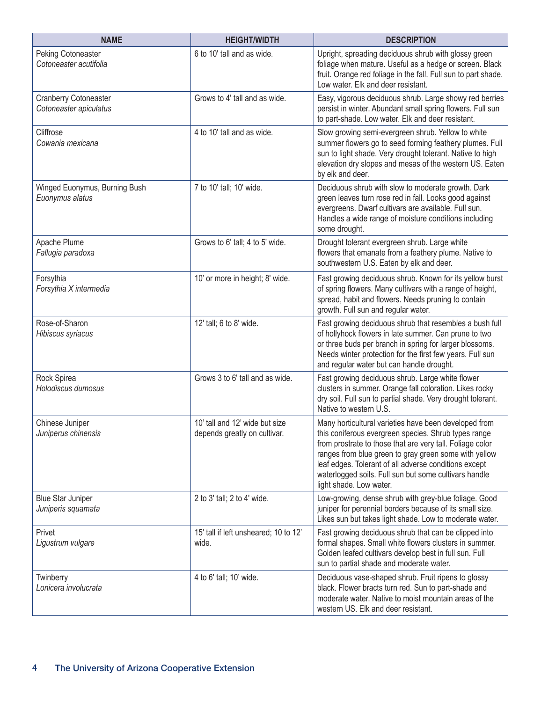| <b>NAME</b>                                      | <b>HEIGHT/WIDTH</b>                                            | <b>DESCRIPTION</b>                                                                                                                                                                                                                                                                                                                                                               |
|--------------------------------------------------|----------------------------------------------------------------|----------------------------------------------------------------------------------------------------------------------------------------------------------------------------------------------------------------------------------------------------------------------------------------------------------------------------------------------------------------------------------|
| Peking Cotoneaster<br>Cotoneaster acutifolia     | 6 to 10' tall and as wide.                                     | Upright, spreading deciduous shrub with glossy green<br>foliage when mature. Useful as a hedge or screen. Black<br>fruit. Orange red foliage in the fall. Full sun to part shade.<br>Low water. Elk and deer resistant.                                                                                                                                                          |
| Cranberry Cotoneaster<br>Cotoneaster apiculatus  | Grows to 4' tall and as wide.                                  | Easy, vigorous deciduous shrub. Large showy red berries<br>persist in winter. Abundant small spring flowers. Full sun<br>to part-shade. Low water. Elk and deer resistant.                                                                                                                                                                                                       |
| Cliffrose<br>Cowania mexicana                    | 4 to 10' tall and as wide.                                     | Slow growing semi-evergreen shrub. Yellow to white<br>summer flowers go to seed forming feathery plumes. Full<br>sun to light shade. Very drought tolerant. Native to high<br>elevation dry slopes and mesas of the western US. Eaten<br>by elk and deer.                                                                                                                        |
| Winged Euonymus, Burning Bush<br>Euonymus alatus | 7 to 10' tall; 10' wide.                                       | Deciduous shrub with slow to moderate growth. Dark<br>green leaves turn rose red in fall. Looks good against<br>evergreens. Dwarf cultivars are available. Full sun.<br>Handles a wide range of moisture conditions including<br>some drought.                                                                                                                                   |
| Apache Plume<br>Fallugia paradoxa                | Grows to 6' tall; 4 to 5' wide.                                | Drought tolerant evergreen shrub. Large white<br>flowers that emanate from a feathery plume. Native to<br>southwestern U.S. Eaten by elk and deer.                                                                                                                                                                                                                               |
| Forsythia<br>Forsythia X intermedia              | 10' or more in height; 8' wide.                                | Fast growing deciduous shrub. Known for its yellow burst<br>of spring flowers. Many cultivars with a range of height,<br>spread, habit and flowers. Needs pruning to contain<br>growth. Full sun and regular water.                                                                                                                                                              |
| Rose-of-Sharon<br>Hibiscus syriacus              | 12' tall; 6 to 8' wide.                                        | Fast growing deciduous shrub that resembles a bush full<br>of hollyhock flowers in late summer. Can prune to two<br>or three buds per branch in spring for larger blossoms.<br>Needs winter protection for the first few years. Full sun<br>and regular water but can handle drought.                                                                                            |
| Rock Spirea<br>Holodiscus dumosus                | Grows 3 to 6' tall and as wide.                                | Fast growing deciduous shrub. Large white flower<br>clusters in summer. Orange fall coloration. Likes rocky<br>dry soil. Full sun to partial shade. Very drought tolerant.<br>Native to western U.S.                                                                                                                                                                             |
| Chinese Juniper<br>Juniperus chinensis           | 10' tall and 12' wide but size<br>depends greatly on cultivar. | Many horticultural varieties have been developed from<br>this coniferous evergreen species. Shrub types range<br>from prostrate to those that are very tall. Foliage color<br>ranges from blue green to gray green some with yellow<br>leaf edges. Tolerant of all adverse conditions except<br>waterlogged soils. Full sun but some cultivars handle<br>light shade. Low water. |
| <b>Blue Star Juniper</b><br>Juniperis squamata   | 2 to 3' tall; 2 to 4' wide.                                    | Low-growing, dense shrub with grey-blue foliage. Good<br>juniper for perennial borders because of its small size.<br>Likes sun but takes light shade. Low to moderate water.                                                                                                                                                                                                     |
| Privet<br>Ligustrum vulgare                      | 15' tall if left unsheared; 10 to 12'<br>wide.                 | Fast growing deciduous shrub that can be clipped into<br>formal shapes. Small white flowers clusters in summer.<br>Golden leafed cultivars develop best in full sun. Full<br>sun to partial shade and moderate water.                                                                                                                                                            |
| Twinberry<br>Lonicera involucrata                | 4 to 6' tall; 10' wide.                                        | Deciduous vase-shaped shrub. Fruit ripens to glossy<br>black. Flower bracts turn red. Sun to part-shade and<br>moderate water. Native to moist mountain areas of the<br>western US. Elk and deer resistant.                                                                                                                                                                      |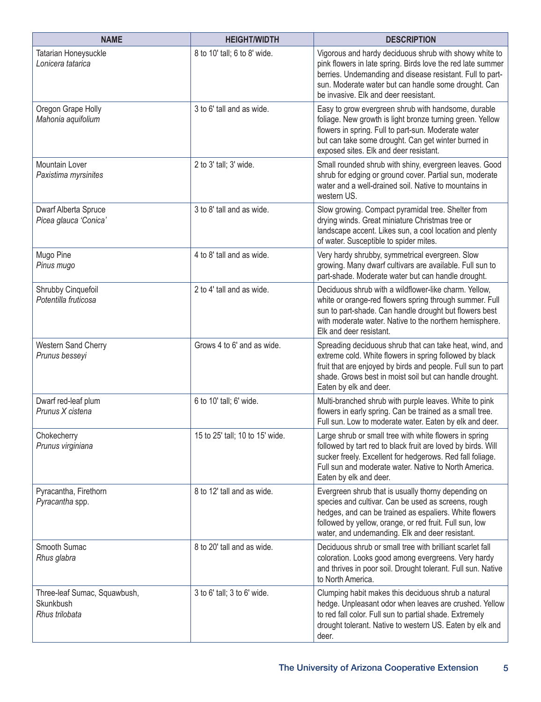| <b>NAME</b>                                                 | <b>HEIGHT/WIDTH</b>             | <b>DESCRIPTION</b>                                                                                                                                                                                                                                                                  |
|-------------------------------------------------------------|---------------------------------|-------------------------------------------------------------------------------------------------------------------------------------------------------------------------------------------------------------------------------------------------------------------------------------|
| Tatarian Honeysuckle<br>Lonicera tatarica                   | 8 to 10' tall; 6 to 8' wide.    | Vigorous and hardy deciduous shrub with showy white to<br>pink flowers in late spring. Birds love the red late summer<br>berries. Undemanding and disease resistant. Full to part-<br>sun. Moderate water but can handle some drought. Can<br>be invasive. Elk and deer reesistant. |
| Oregon Grape Holly<br>Mahonia aquifolium                    | 3 to 6' tall and as wide.       | Easy to grow evergreen shrub with handsome, durable<br>foliage. New growth is light bronze turning green. Yellow<br>flowers in spring. Full to part-sun. Moderate water<br>but can take some drought. Can get winter burned in<br>exposed sites. Elk and deer resistant.            |
| Mountain Lover<br>Paxistima myrsinites                      | 2 to 3' tall; 3' wide.          | Small rounded shrub with shiny, evergreen leaves. Good<br>shrub for edging or ground cover. Partial sun, moderate<br>water and a well-drained soil. Native to mountains in<br>western US.                                                                                           |
| Dwarf Alberta Spruce<br>Picea glauca 'Conica'               | 3 to 8' tall and as wide.       | Slow growing. Compact pyramidal tree. Shelter from<br>drying winds. Great miniature Christmas tree or<br>landscape accent. Likes sun, a cool location and plenty<br>of water. Susceptible to spider mites.                                                                          |
| Mugo Pine<br>Pinus mugo                                     | 4 to 8' tall and as wide.       | Very hardy shrubby, symmetrical evergreen. Slow<br>growing. Many dwarf cultivars are available. Full sun to<br>part-shade. Moderate water but can handle drought.                                                                                                                   |
| Shrubby Cinquefoil<br>Potentilla fruticosa                  | 2 to 4' tall and as wide.       | Deciduous shrub with a wildflower-like charm. Yellow,<br>white or orange-red flowers spring through summer. Full<br>sun to part-shade. Can handle drought but flowers best<br>with moderate water. Native to the northern hemisphere.<br>Elk and deer resistant.                    |
| Western Sand Cherry<br>Prunus besseyi                       | Grows 4 to 6' and as wide.      | Spreading deciduous shrub that can take heat, wind, and<br>extreme cold. White flowers in spring followed by black<br>fruit that are enjoyed by birds and people. Full sun to part<br>shade. Grows best in moist soil but can handle drought.<br>Eaten by elk and deer.             |
| Dwarf red-leaf plum<br>Prunus X cistena                     | 6 to 10' tall; 6' wide.         | Multi-branched shrub with purple leaves. White to pink<br>flowers in early spring. Can be trained as a small tree.<br>Full sun. Low to moderate water. Eaten by elk and deer.                                                                                                       |
| Chokecherry<br>Prunus virginiana                            | 15 to 25' tall; 10 to 15' wide. | Large shrub or small tree with white flowers in spring<br>followed by tart red to black fruit are loved by birds. Will<br>sucker freely. Excellent for hedgerows. Red fall foliage.<br>Full sun and moderate water. Native to North America.<br>Eaten by elk and deer.              |
| Pyracantha, Firethorn<br>Pyracantha spp.                    | 8 to 12' tall and as wide.      | Evergreen shrub that is usually thorny depending on<br>species and cultivar. Can be used as screens, rough<br>hedges, and can be trained as espaliers. White flowers<br>followed by yellow, orange, or red fruit. Full sun, low<br>water, and undemanding. Elk and deer resistant.  |
| Smooth Sumac<br>Rhus glabra                                 | 8 to 20' tall and as wide.      | Deciduous shrub or small tree with brilliant scarlet fall<br>coloration. Looks good among evergreens. Very hardy<br>and thrives in poor soil. Drought tolerant. Full sun. Native<br>to North America.                                                                               |
| Three-leaf Sumac, Squawbush,<br>Skunkbush<br>Rhus trilobata | 3 to 6' tall; 3 to 6' wide.     | Clumping habit makes this deciduous shrub a natural<br>hedge. Unpleasant odor when leaves are crushed. Yellow<br>to red fall color. Full sun to partial shade. Extremely<br>drought tolerant. Native to western US. Eaten by elk and<br>deer.                                       |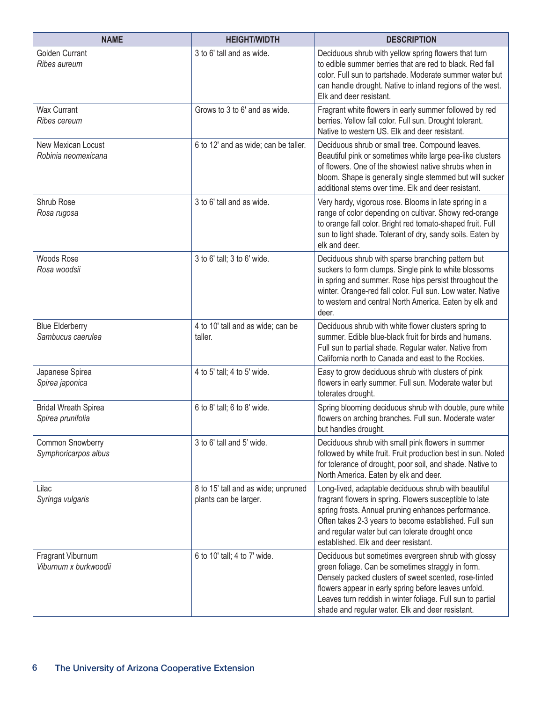| <b>NAME</b>                                      | <b>HEIGHT/WIDTH</b>                                          | <b>DESCRIPTION</b>                                                                                                                                                                                                                                                                                                                          |
|--------------------------------------------------|--------------------------------------------------------------|---------------------------------------------------------------------------------------------------------------------------------------------------------------------------------------------------------------------------------------------------------------------------------------------------------------------------------------------|
| Golden Currant<br>Ribes aureum                   | 3 to 6' tall and as wide.                                    | Deciduous shrub with yellow spring flowers that turn<br>to edible summer berries that are red to black. Red fall<br>color. Full sun to partshade. Moderate summer water but<br>can handle drought. Native to inland regions of the west.<br>Elk and deer resistant.                                                                         |
| <b>Wax Currant</b><br>Ribes cereum               | Grows to 3 to 6' and as wide.                                | Fragrant white flowers in early summer followed by red<br>berries. Yellow fall color. Full sun. Drought tolerant.<br>Native to western US. Elk and deer resistant.                                                                                                                                                                          |
| New Mexican Locust<br>Robinia neomexicana        | 6 to 12' and as wide; can be taller.                         | Deciduous shrub or small tree. Compound leaves.<br>Beautiful pink or sometimes white large pea-like clusters<br>of flowers. One of the showiest native shrubs when in<br>bloom. Shape is generally single stemmed but will sucker<br>additional stems over time. Elk and deer resistant.                                                    |
| Shrub Rose<br>Rosa rugosa                        | 3 to 6' tall and as wide.                                    | Very hardy, vigorous rose. Blooms in late spring in a<br>range of color depending on cultivar. Showy red-orange<br>to orange fall color. Bright red tomato-shaped fruit. Full<br>sun to light shade. Tolerant of dry, sandy soils. Eaten by<br>elk and deer.                                                                                |
| Woods Rose<br>Rosa woodsii                       | 3 to 6' tall; 3 to 6' wide.                                  | Deciduous shrub with sparse branching pattern but<br>suckers to form clumps. Single pink to white blossoms<br>in spring and summer. Rose hips persist throughout the<br>winter. Orange-red fall color. Full sun. Low water. Native<br>to western and central North America. Eaten by elk and<br>deer.                                       |
| <b>Blue Elderberry</b><br>Sambucus caerulea      | 4 to 10' tall and as wide; can be<br>taller.                 | Deciduous shrub with white flower clusters spring to<br>summer. Edible blue-black fruit for birds and humans.<br>Full sun to partial shade. Regular water. Native from<br>California north to Canada and east to the Rockies.                                                                                                               |
| Japanese Spirea<br>Spirea japonica               | 4 to 5' tall; 4 to 5' wide.                                  | Easy to grow deciduous shrub with clusters of pink<br>flowers in early summer. Full sun. Moderate water but<br>tolerates drought.                                                                                                                                                                                                           |
| <b>Bridal Wreath Spirea</b><br>Spirea prunifolia | 6 to 8' tall; 6 to 8' wide.                                  | Spring blooming deciduous shrub with double, pure white<br>flowers on arching branches. Full sun. Moderate water<br>but handles drought.                                                                                                                                                                                                    |
| Common Snowberry<br>Symphoricarpos albus         | 3 to 6' tall and 5' wide.                                    | Deciduous shrub with small pink flowers in summer<br>followed by white fruit. Fruit production best in sun. Noted<br>for tolerance of drought, poor soil, and shade. Native to<br>North America. Eaten by elk and deer.                                                                                                                     |
| Lilac<br>Syringa vulgaris                        | 8 to 15' tall and as wide; unpruned<br>plants can be larger. | Long-lived, adaptable deciduous shrub with beautiful<br>fragrant flowers in spring. Flowers susceptible to late<br>spring frosts. Annual pruning enhances performance.<br>Often takes 2-3 years to become established. Full sun<br>and regular water but can tolerate drought once<br>established. Elk and deer resistant.                  |
| Fragrant Viburnum<br>Viburnum x burkwoodii       | 6 to 10' tall; 4 to 7' wide.                                 | Deciduous but sometimes evergreen shrub with glossy<br>green foliage. Can be sometimes straggly in form.<br>Densely packed clusters of sweet scented, rose-tinted<br>flowers appear in early spring before leaves unfold.<br>Leaves turn reddish in winter foliage. Full sun to partial<br>shade and regular water. Elk and deer resistant. |